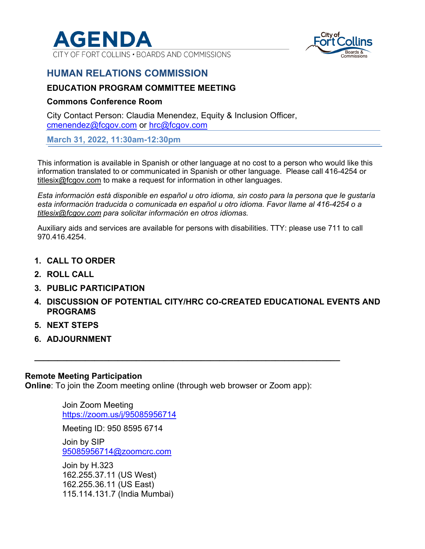

CITY OF FORT COLLINS . BOARDS AND COMMISSIONS



## **HUMAN RELATIONS COMMISSION**

#### **EDUCATION PROGRAM COMMITTEE MEETING**

#### **Commons Conference Room**

City Contact Person: Claudia Menendez, Equity & Inclusion Officer, cmenendez@fcgov.com or hrc@fcgov.com

**March 31, 2022, 11:30am-12:30pm** 

This information is available in Spanish or other language at no cost to a person who would like this information translated to or communicated in Spanish or other language. Please call 416-4254 or titlesix@fcgov.com to make a request for information in other languages.

*Esta información está disponible en español u otro idioma, sin costo para la persona que le gustaría esta información traducida o comunicada en español u otro idioma. Favor llame al 416-4254 o a titlesix@fcgov.com para solicitar información en otros idiomas.* 

Auxiliary aids and services are available for persons with disabilities. TTY: please use 711 to call 970.416.4254.

- **1. CALL TO ORDER**
- **2. ROLL CALL**
- **3. PUBLIC PARTICIPATION**
- **4. DISCUSSION OF POTENTIAL CITY/HRC CO-CREATED EDUCATIONAL EVENTS AND PROGRAMS**
- **5. NEXT STEPS**
- **6. ADJOURNMENT**

#### **Remote Meeting Participation**

**Online**: To join the Zoom meeting online (through web browser or Zoom app):

**\_\_\_\_\_\_\_\_\_\_\_\_\_\_\_\_\_\_\_\_\_\_\_\_\_\_\_\_\_\_\_\_\_\_\_\_\_\_\_\_\_\_\_\_\_\_\_\_\_\_\_\_\_\_\_\_\_\_\_\_\_\_\_\_\_\_** 

Join Zoom Meeting https://zoom.us/j/95085956714

Meeting ID: 950 8595 6714

Join by SIP 95085956714@zoomcrc.com

Join by H.323 162.255.37.11 (US West) 162.255.36.11 (US East) 115.114.131.7 (India Mumbai)